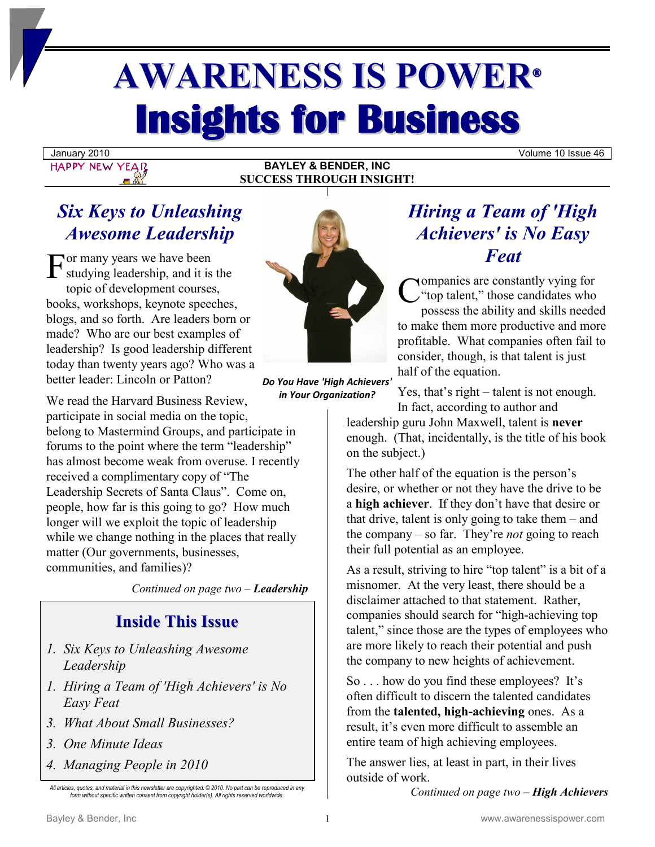# **AWARENESS IS POWER® Insights for Business**

January 2010 Volume 10 Issue 46

## **HAPPY NEW YEAR**

#### **BAYLEY & BENDER, INC SUCCESS THROUGH INSIGHT!**

### *Six Keys to Unleashing Awesome Leadership*

or many years we have been  $\Gamma$  studying leadership, and it is the topic of development courses, books, workshops, keynote speeches, blogs, and so forth. Are leaders born or made? Who are our best examples of leadership? Is good leadership different today than twenty years ago? Who was a better leader: Lincoln or Patton?

We read the Harvard Business Review, participate in social media on the topic, belong to Mastermind Groups, and participate in forums to the point where the term "leadership" has almost become weak from overuse. I recently received a complimentary copy of "The Leadership Secrets of Santa Claus". Come on, people, how far is this going to go? How much longer will we exploit the topic of leadership while we change nothing in the places that really matter (Our governments, businesses, communities, and families)?

*Continued on page two – Leadership*

### **Inside This Issue**

- *1. Six Keys to Unleashing Awesome Leadership*
- *1. Hiring a Team of 'High Achievers' is No Easy Feat*
- *3. What About Small Businesses?*
- *3. One Minute Ideas*
- *4. Managing People in 2010*



*Do You Have 'High Achievers' in Your Organization?* 

### *Hiring a Team of 'High Achievers' is No Easy Feat*

ompanies are constantly vying for **C** companies are constantly vying for<br>
"top talent," those candidates who<br>
possess the shility and skills peeds possess the ability and skills needed to make them more productive and more profitable. What companies often fail to consider, though, is that talent is just half of the equation.

Yes, that's right  $-$  talent is not enough. In fact, according to author and

leadership guru John Maxwell, talent is **never** enough. (That, incidentally, is the title of his book on the subject.)

The other half of the equation is the person's desire, or whether or not they have the drive to be a **high achiever**. If they don't have that desire or that drive, talent is only going to take them  $-$  and the company ‒ so far. They're *not* going to reach their full potential as an employee.

As a result, striving to hire "top talent" is a bit of a misnomer. At the very least, there should be a disclaimer attached to that statement. Rather, companies should search for "high-achieving top talent," since those are the types of employees who are more likely to reach their potential and push the company to new heights of achievement.

So . . . how do you find these employees? It's often difficult to discern the talented candidates from the **talented, high-achieving** ones. As a result, it's even more difficult to assemble an entire team of high achieving employees.

The answer lies, at least in part, in their lives outside of work.

*Continued on page two* – *High Achievers*

*All articles, quotes, and material in this newsletter are copyrighted. © 2010. No part can be reproduced in any form without specific written consent from copyright holder(s). All rights reserved worldwide.*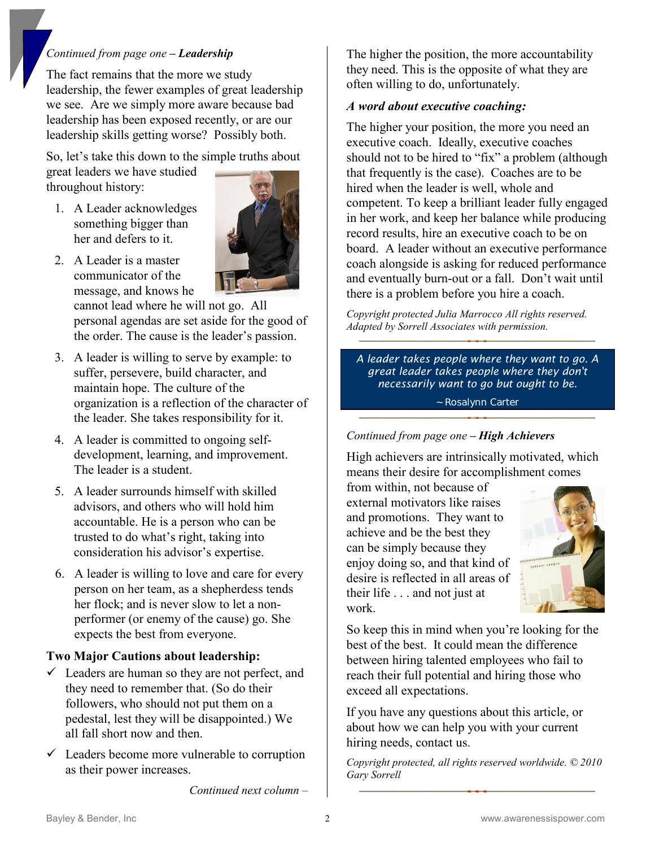#### *Continued from page one – Leadership*

The fact remains that the more we study leadership, the fewer examples of great leadership we see. Are we simply more aware because bad leadership has been exposed recently, or are our leadership skills getting worse? Possibly both.

So, let's take this down to the simple truths about great leaders we have studied throughout history:

1. A Leader acknowledges something bigger than her and defers to it.



2. A Leader is a master communicator of the message, and knows he

cannot lead where he will not go. All personal agendas are set aside for the good of the order. The cause is the leader's passion.

- 3. A leader is willing to serve by example: to suffer, persevere, build character, and maintain hope. The culture of the organization is a reflection of the character of the leader. She takes responsibility for it.
- 4. A leader is committed to ongoing selfdevelopment, learning, and improvement. The leader is a student.
- 5. A leader surrounds himself with skilled advisors, and others who will hold him accountable. He is a person who can be trusted to do what's right, taking into consideration his advisor's expertise.
- 6. A leader is willing to love and care for every person on her team, as a shepherdess tends her flock; and is never slow to let a nonperformer (or enemy of the cause) go. She expects the best from everyone.

#### **Two Major Cautions about leadership:**

- $\checkmark$  Leaders are human so they are not perfect, and they need to remember that. (So do their followers, who should not put them on a pedestal, lest they will be disappointed.) We all fall short now and then.
- $\checkmark$  Leaders become more vulnerable to corruption as their power increases.

The higher the position, the more accountability they need. This is the opposite of what they are often willing to do, unfortunately.

#### *A word about executive coaching:*

The higher your position, the more you need an executive coach. Ideally, executive coaches should not to be hired to "fix" a problem (although that frequently is the case). Coaches are to be hired when the leader is well, whole and competent. To keep a brilliant leader fully engaged in her work, and keep her balance while producing record results, hire an executive coach to be on board. A leader without an executive performance coach alongside is asking for reduced performance and eventually burn-out or a fall. Don't wait until there is a problem before you hire a coach.

*Copyright protected Julia Marrocco All rights reserved. Adapted by Sorrell Associates with permission.*

*A leader takes people where they want to go. A great leader takes people where they don't necessarily want to go but ought to be.* ~ Rosalynn Carter

#### *Continued from page one – High Achievers*

High achievers are intrinsically motivated, which means their desire for accomplishment comes

from within, not because of external motivators like raises and promotions. They want to achieve and be the best they can be simply because they enjoy doing so, and that kind of desire is reflected in all areas of their life . . . and not just at work.



So keep this in mind when you're looking for the best of the best. It could mean the difference between hiring talented employees who fail to reach their full potential and hiring those who exceed all expectations.

If you have any questions about this article, or about how we can help you with your current hiring needs, contact us.

*Copyright protected, all rights reserved worldwide. © 2010 Gary Sorrell* 

*Continued next column ‒*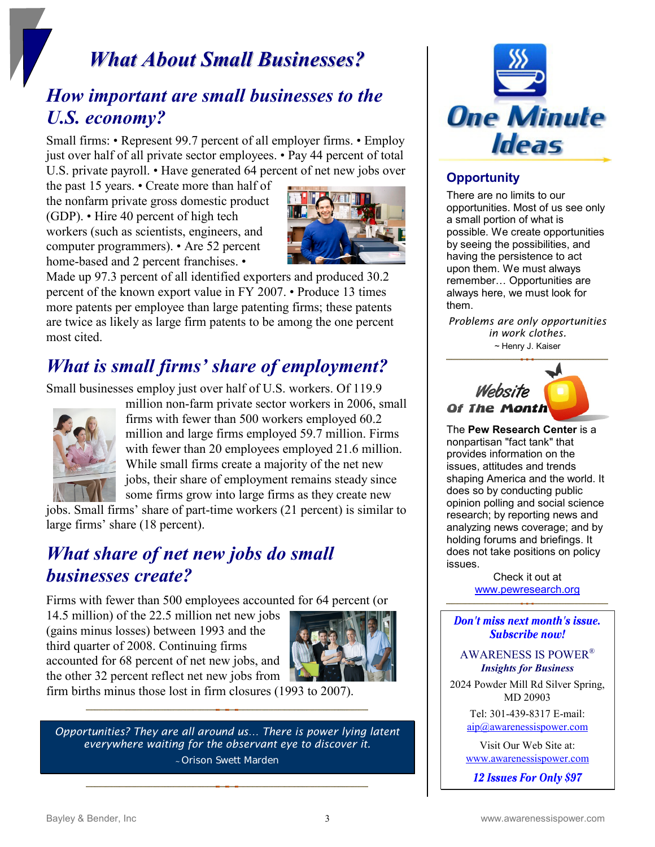### *What About Small Businesses?*

### *How important are small businesses to the U.S. economy?*

Small firms: • Represent 99.7 percent of all employer firms. • Employ just over half of all private sector employees. • Pay 44 percent of total U.S. private payroll. • Have generated 64 percent of net new jobs over

the past 15 years. • Create more than half of the nonfarm private gross domestic product (GDP). • Hire 40 percent of high tech workers (such as scientists, engineers, and computer programmers). • Are 52 percent home-based and 2 percent franchises. •



Made up 97.3 percent of all identified exporters and produced 30.2 percent of the known export value in FY 2007. • Produce 13 times more patents per employee than large patenting firms; these patents are twice as likely as large firm patents to be among the one percent most cited.

### *What is small firms' share of employment?*

Small businesses employ just over half of U.S. workers. Of 119.9



million non-farm private sector workers in 2006, small firms with fewer than 500 workers employed 60.2 million and large firms employed 59.7 million. Firms with fewer than 20 employees employed 21.6 million. While small firms create a majority of the net new jobs, their share of employment remains steady since some firms grow into large firms as they create new

jobs. Small firms' share of part-time workers (21 percent) is similar to large firms' share (18 percent).

### *What share of net new jobs do small businesses create?*

Firms with fewer than 500 employees accounted for 64 percent (or

14.5 million) of the 22.5 million net new jobs (gains minus losses) between 1993 and the third quarter of 2008. Continuing firms accounted for 68 percent of net new jobs, and the other 32 percent reflect net new jobs from



firm births minus those lost in firm closures (1993 to 2007).

*Opportunities? They are all around us… There is power lying latent everywhere waiting for the observant eye to discover it. <sup>~</sup>* Orison Swett Marden



#### **Opportunity**

There are no limits to our opportunities. Most of us see only a small portion of what is possible. We create opportunities by seeing the possibilities, and having the persistence to act upon them. We must always remember… Opportunities are always here, we must look for them.

*Problems are only opportunities in work clothes. ~* Henry J. Kaiser



The **Pew Research Center** is a nonpartisan "fact tank" that provides information on the issues, attitudes and trends shaping America and the world. It does so by conducting public opinion polling and social science research; by reporting news and analyzing news coverage; and by holding forums and briefings. It does not take positions on policy issues.

Check it out at [www.pewresearch.org](http://www.pewresearch.org/)

Don't miss next month's issue. Subscribe now!

AWARENESS IS POWER® *Insights for Business*

2024 Powder Mill Rd Silver Spring, MD 20903

> Tel: 301-439-8317 E-mail: [aip@awarenessispower.com](mailto:aip@awarenessispower.com)

Visit Our Web Site at: [www.awarenessispower.com](http://www.awarenessispower.com/)

12 Issues For Only \$97